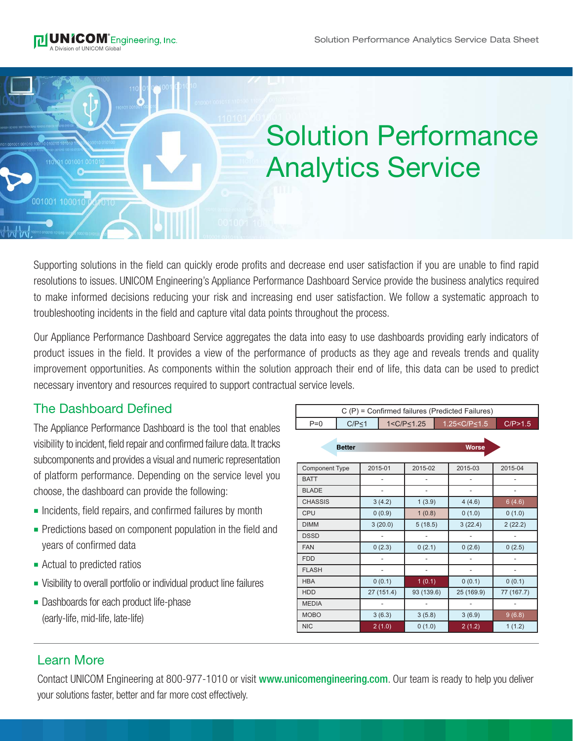001001 10001

## Solution Performance Analytics Service

Supporting solutions in the field can quickly erode profits and decrease end user satisfaction if you are unable to find rapid resolutions to issues. UNICOM Engineering's Appliance Performance Dashboard Service provide the business analytics required to make informed decisions reducing your risk and increasing end user satisfaction. We follow a systematic approach to troubleshooting incidents in the field and capture vital data points throughout the process.

Our Appliance Performance Dashboard Service aggregates the data into easy to use dashboards providing early indicators of product issues in the field. It provides a view of the performance of products as they age and reveals trends and quality improvement opportunities. As components within the solution approach their end of life, this data can be used to predict necessary inventory and resources required to support contractual service levels.

## The Dashboard Defined

The Appliance Performance Dashboard is the tool that enables visibility to incident, field repair and confirmed failure data. It tracks subcomponents and provides a visual and numeric representation of platform performance. Depending on the service level you choose, the dashboard can provide the following:

- **n** Incidents, field repairs, and confirmed failures by month
- Predictions based on component population in the field and years of confirmed data
- **n** Actual to predicted ratios
- Visibility to overall portfolio or individual product line failures
- **-** Dashboards for each product life-phase (early-life, mid-life, late-life)

| C (P) = Confirmed failures (Predicted Failures) |               |                          |                    |                |  |                               |                          |  |
|-------------------------------------------------|---------------|--------------------------|--------------------|----------------|--|-------------------------------|--------------------------|--|
| $P=0$                                           | $C/P \leq 1$  |                          | $1 < C/P \le 1.25$ |                |  | 1.25 <c <<br="" p=""></c> 1.5 | C/P>1.5                  |  |
|                                                 | <b>Better</b> | <b>Worse</b>             |                    |                |  |                               |                          |  |
| <b>Component Type</b>                           |               | 2015-01                  |                    | 2015-02        |  | 2015-03                       | 2015-04                  |  |
| <b>BATT</b>                                     |               | $\overline{a}$           |                    |                |  |                               | $\overline{\phantom{0}}$ |  |
| <b>BLADE</b>                                    |               | $\overline{\phantom{a}}$ |                    | $\overline{a}$ |  | -                             | $\overline{\phantom{0}}$ |  |
| <b>CHASSIS</b>                                  |               | 3(4.2)                   |                    | 1(3.9)         |  | 4(4.6)                        | 6(4.6)                   |  |
| CPU                                             |               | 0(0.9)                   |                    | 1(0.8)         |  | 0(1.0)                        | 0(1.0)                   |  |
| <b>DIMM</b>                                     |               | 3(20.0)                  |                    | 5(18.5)        |  | 3(22.4)                       | 2(22.2)                  |  |
| <b>DSSD</b>                                     |               |                          |                    |                |  |                               |                          |  |
| <b>FAN</b>                                      |               | 0(2.3)                   |                    | 0(2.1)         |  | 0(2.6)                        | 0(2.5)                   |  |
| <b>FDD</b>                                      |               |                          |                    |                |  |                               | $\overline{\phantom{0}}$ |  |
| <b>FLASH</b>                                    |               |                          |                    |                |  |                               | $\overline{\phantom{0}}$ |  |
| <b>HBA</b>                                      |               | 0(0.1)                   |                    | 1(0.1)         |  | 0(0.1)                        | 0(0.1)                   |  |
| <b>HDD</b>                                      |               | 27 (151.4)               |                    | 93 (139.6)     |  | 25 (169.9)                    | 77 (167.7)               |  |
| <b>MEDIA</b>                                    |               |                          |                    |                |  |                               |                          |  |
| <b>MOBO</b>                                     |               | 3(6.3)                   |                    | 3(5.8)         |  | 3(6.9)                        | 9(6.8)                   |  |
| <b>NIC</b>                                      |               | 2(1.0)                   |                    | 0(1.0)         |  | 2(1.2)                        | 1(1.2)                   |  |

## Learn More

Contact UNICOM Engineering at 800-977-1010 or visit www.unicomengineering.com. Our team is ready to help you deliver your solutions faster, better and far more cost effectively.